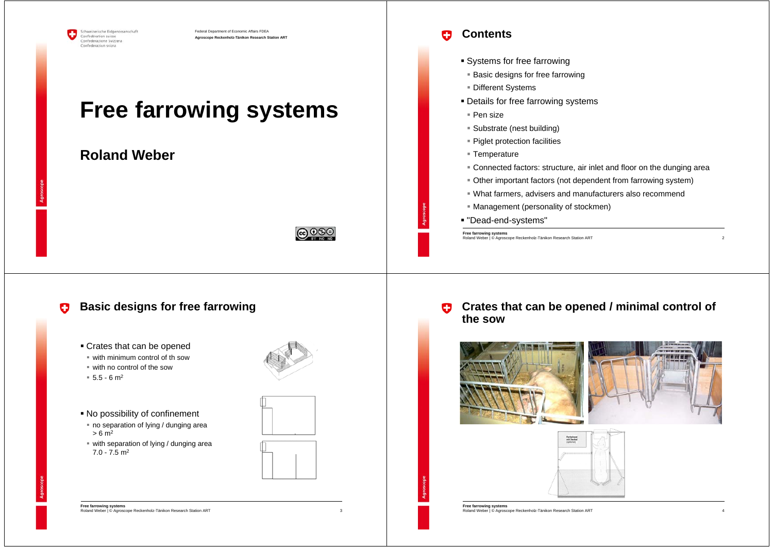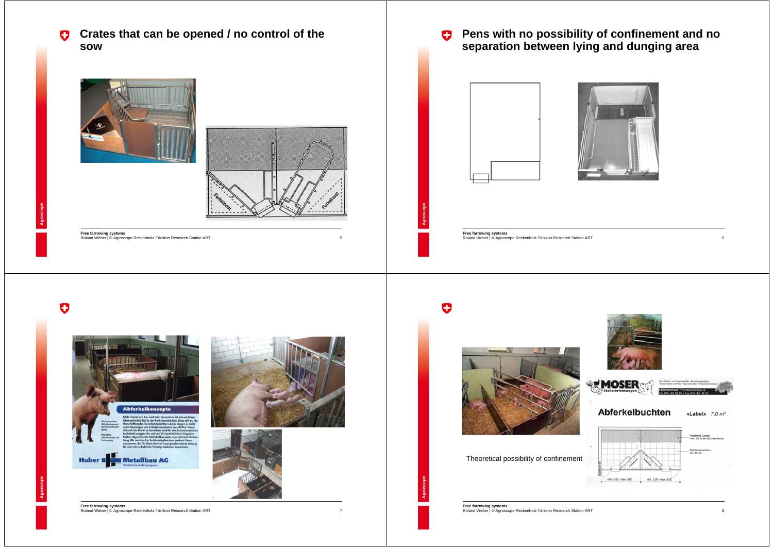**Crates that can be opened / no control of the**   $\bullet$ **sow**





5

7

**Free farrowing systems** Roland Weber | © Agroscope Reckenholz-Tänikon Research Station ART 6 6 Changer Company of the Changer Company of the Changer Roland Weber | © Agroscope Reckenholz-Tänikon Research Station ART 6 6 Changer Company of the Cha



**Free farrowing systems**

O

 $\bullet$ 



# **E** MOSER Abferkelbuchten Theoretical possibility of confinementmin. 2.00 - max. 3.00 min. 2.00 - max. 3.00

«Label»  $7.0 m<sup>2</sup>$ 

Rostanteil (Label)<br>max. 30 % der Buc Stallitbode<br>40 / 40 cm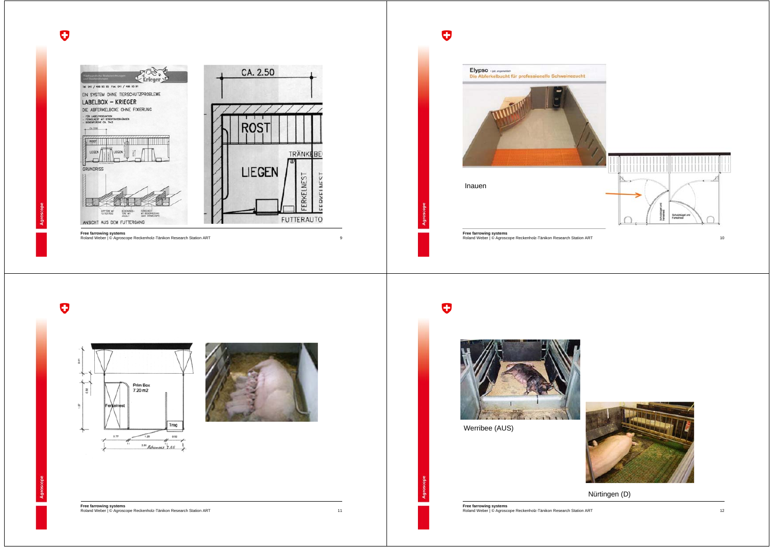







11

**Free farrowing systems** Roland Weber | © Agroscope Reckenholz-Tänikon Research Station ART 12 **Free farrowing systems** Roland Weber | © Agroscope Reckenholz-Tänikon Research Station ART

# $\bullet$



Werribee (AUS)



Nürtingen (D)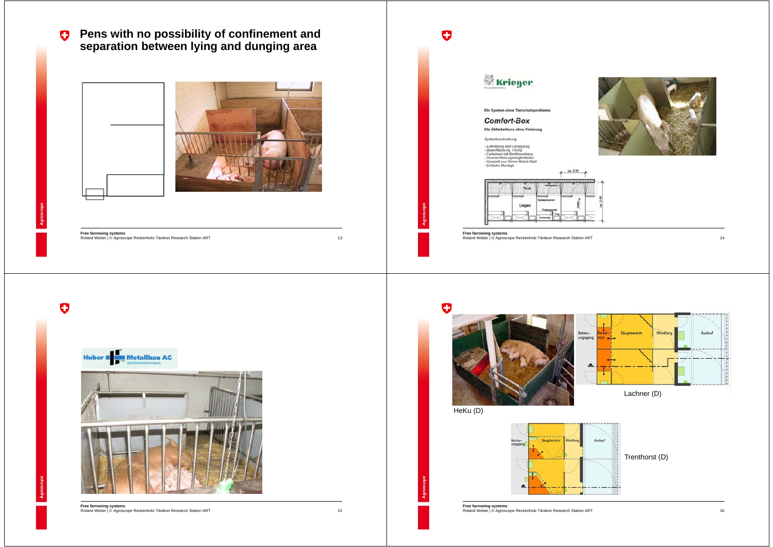$\bullet$ **Pens with no possibility of confinement and separation between lying and dunging area**



**Free farrowing systems**

13

15



**Free farrowing systems Free farrowing systems**<br>Roland Weber | © Agroscope Reckenholz-Tänikon Research Station ART 16<br>Roland Weber | © Agroscope Reckenholz-Tänikon Research Station ART 16

 $\bullet$ Krieger Ein System ohne Tierschutzprobleme **Comfort-Box** Die Abferkelboxe ohne Fixierung Systembeschreibung - Entmintung oder Umspülung<br>- Boxenfläche ca. 7.6 m2<br>- Ferkelnest mit Streiferworhang<br>- Nomplett aus Chrom-Nickel-Stahl<br>- Komplett aus Chrom-Nickel-Stahl<br>- Einfache Montage  $220$ Liegen **Free farrowing systems** Roland Weber | © Agroscope Reckenholz-Tänikon Research Station ART 14 and 2012 13 and 2012 14 and 2012 14 and 2013 14 and 2013 14 and 2013 14 and 2013 14 and 2013 14 and 2013 14 and 2013 14 and 2013 14 and 2013 14 and 2013



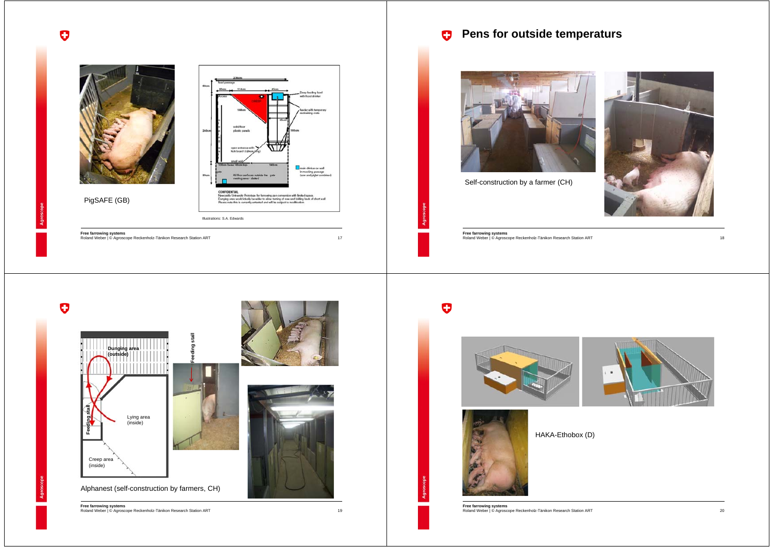

Self-construction by a farmer (CH)



**Free farrowing systems** Roland Weber | © Agroscope Reckenholz-Tänikon Research Station ART

# $\bullet$



#### HAKA-Ethobox (D)

**Free farrowing systems** Roland Weber | © Agroscope Reckenholz-Tänikon Research Station ART



# PigSAFE (GB)

.<br>Deep feeding bowl<br>with fixed drinker sold for about one main drinker on wall in mucking passage<br>(sow and piglet combined) CONFIDENTIAL CONFIDENTIAL<br>Nivecastle University Prototype for farmwing pen conversion with finited space.<br>Dunging ana would ideally be wider to allow turning of sow and folding back of short wall<br>Please note this is currently untersed Illustrations: S.A. Edwards 17

**Free farrowing systems** Roland Weber | © Agroscope Reckenholz-Tänikon Research Station ART

 $\bullet$ 





Alphanest (self-construction by farmers, CH)

**Free farrowing systems** Roland Weber | © Agroscope Reckenholz-Tänikon Research Station ART

19

 $\bullet$ 

18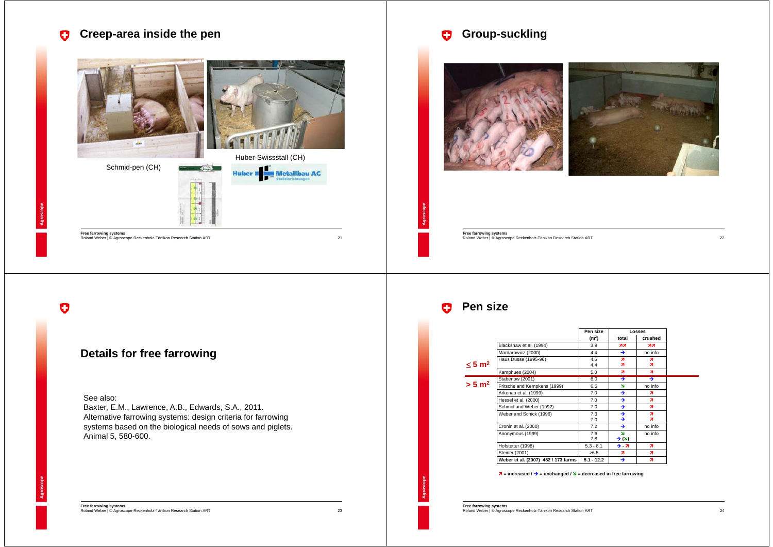

o

## **Details for free farrowing**

#### See also:

Baxter, E.M., Lawrence, A.B., Edwards, S.A., 2011. Alternative farrowing systems: design criteria for farrowing systems based on the biological needs of sows and piglets. Animal 5, 580-600.

**Free farrowing systems** Roland Weber | © Agroscope Reckenholz-Tänikon Research Station ART

23

## **Group-suckling**



**Free farrowing systems** Roland Weber | © Agroscope Reckenholz-Tänikon Research Station ART

#### $\bullet$ **Pen size**

|                         |                                     | Pen size          | <b>Losses</b>                                |         |
|-------------------------|-------------------------------------|-------------------|----------------------------------------------|---------|
|                         |                                     | (m <sup>2</sup> ) | total                                        | crushed |
|                         | Blackshaw et al. (1994)             | 3.9               | 77                                           | 77      |
|                         | Mardarowicz (2000)                  | 4.4               | →                                            | no info |
| $\leq 5$ m <sup>2</sup> | Haus Düsse (1995-96)                | 4.6<br>4.4        | я<br>7                                       | я<br>я  |
|                         | Kamphues (2004)                     | 5.0               | z                                            | z       |
| $> 5 \text{ m}^2$       | Stabenow (2001)                     | 6.0               | →                                            | ∍       |
|                         | Fritsche and Kempkens (1999)        | 6.5               | N                                            | no info |
|                         | Arkenau et al. (1999)               | 7.0               | →                                            | 71      |
|                         | Hessel et al. (2000)                | 7.0               | →                                            | я.      |
|                         | Schmid and Weber (1992)             | 7.0               | →                                            | я       |
|                         | Weber and Schick (1996)             | 7.3<br>7.0        | →<br>→                                       | я<br>я  |
|                         | Cronin et al. (2000)                | 7.2               | →                                            | no info |
|                         | Anonymous (1999)                    | 7.6<br>7.8        | $\overline{\mathbf{M}}$<br>$\rightarrow$ (צ) | no info |
|                         | Hofstetter (1998)                   | $5.3 - 8.1$       | → - ⁊                                        | я       |
|                         | Steiner (2001)                      | >6.5              | я                                            | я       |
|                         | Weber et al. (2007) 482 / 173 farms | $5.1 - 12.2$      | →                                            | 71      |

 $\lambda$  = increased /  $\rightarrow$  = unchanged /  $\lambda$  = decreased in free farrowing

**Free farrowing systems** Roland Weber | © Agroscope Reckenholz-Tänikon Research Station ART

22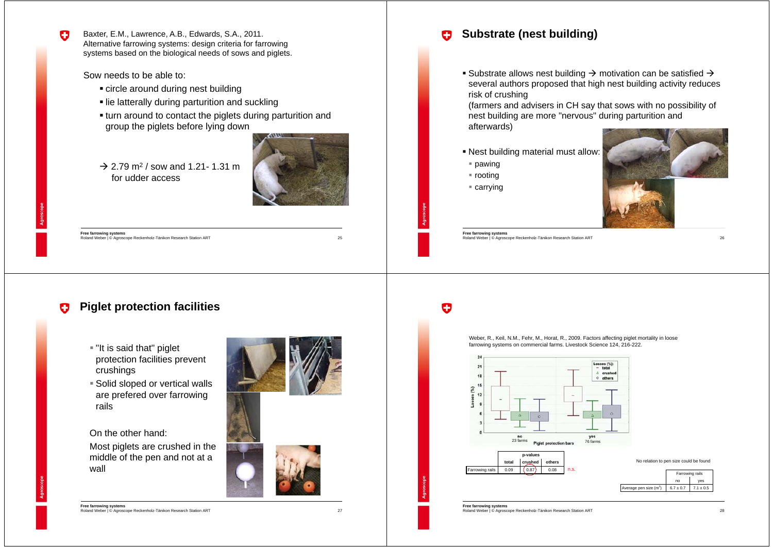Baxter, E.M., Lawrence, A.B., Edwards, S.A., 2011. Alternative farrowing systems: design criteria for farrowing systems based on the biological needs of sows and piglets.

Sow needs to be able to:

- circle around during nest building
- lie latterally during parturition and suckling
- turn around to contact the piglets during parturition and group the piglets before lying down
- $\rightarrow$  2.79 m<sup>2</sup> / sow and 1.21- 1.31 m for udder access



25

27

o

**Free farrowing systems** Roland Weber | © Agroscope Reckenholz-Tänikon Research Station ART

**Piglet protection facilities** o

- "It is said that" piglet protection facilities prevent crushings
- Solid sloped or vertical walls are prefered over farrowing rails

On the other hand:

Most piglets are crushed in the middle of the pen and not at a wall





**Free farrowing systems** Roland Weber | © Agroscope Reckenholz-Tänikon Research Station ART

#### **Substrate (nest building)** o

Substrate allows nest building  $\rightarrow$  motivation can be satisfied  $\rightarrow$ several authors proposed that high nest building activity reduces risk of crushing

(farmers and advisers in CH say that sows with no possibility of nest building are more "nervous" during parturition and afterwards)

- Nest building material must allow:
- pawing
- rooting
- carrying



**Free farrowing systems** Roland Weber | © Agroscope Reckenholz-Tänikon Research Station ART

Ο

Weber, R., Keil, N.M., Fehr, M., Horat, R., 2009. Factors affecting piglet mortality in loose farrowing systems on commercial farms. Livestock Science 124, 216-222.



**Free farrowing systems** Roland Weber | © Agroscope Reckenholz-Tänikon Research Station ART Farrowing rails

26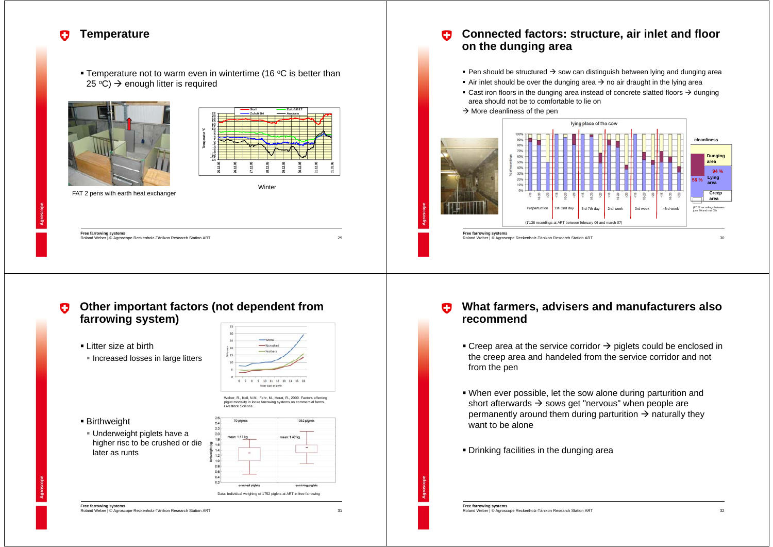#### **Temperature** o

**Temperature not to warm even in wintertime (16 °C is better than**  $25 \text{ }^{\circ}C$ )  $\rightarrow$  enough litter is required





 $29$ 

31

**Free farrowing systems** Roland Weber | © Agroscope Reckenholz-Tänikon Research Station ART

#### **Connected factors: structure, air inlet and floor**  o **on the dunging area**

- Pen should be structured  $\rightarrow$  sow can distinguish between lying and dunging area
- Air inlet should be over the dunging area  $\rightarrow$  no air draught in the lying area
- **Cast iron floors in the dunging area instead of concrete slatted floors**  $\rightarrow$  **dunging** area should not be to comfortable to lie on
- $\rightarrow$  More cleanliness of the pen



#### **Other important factors (not dependent from**  o **farrowing system)**

Litter size at birth

Birthweight

later as runts

**Increased losses in large litters** 

 Underweight piglets have a higher risc to be crushed or die



#### **What farmers, advisers and manufacturers also**  o **recommend**

- **Creep area at the service corridor**  $\rightarrow$  **piglets could be enclosed in** the creep area and handeled from the service corridor and not from the pen
- When ever possible, let the sow alone during parturition and short afterwards  $\rightarrow$  sows get "nervous" when people are permanently around them during parturition  $\rightarrow$  naturally they want to be alone
- Drinking facilities in the dunging area

**Free farrowing systems** Roland Weber | © Agroscope Reckenholz-Tänikon Research Station ART

**Free farrowing systems** Roland Weber | © Agroscope Reckenholz-Tänikon Research Station ART